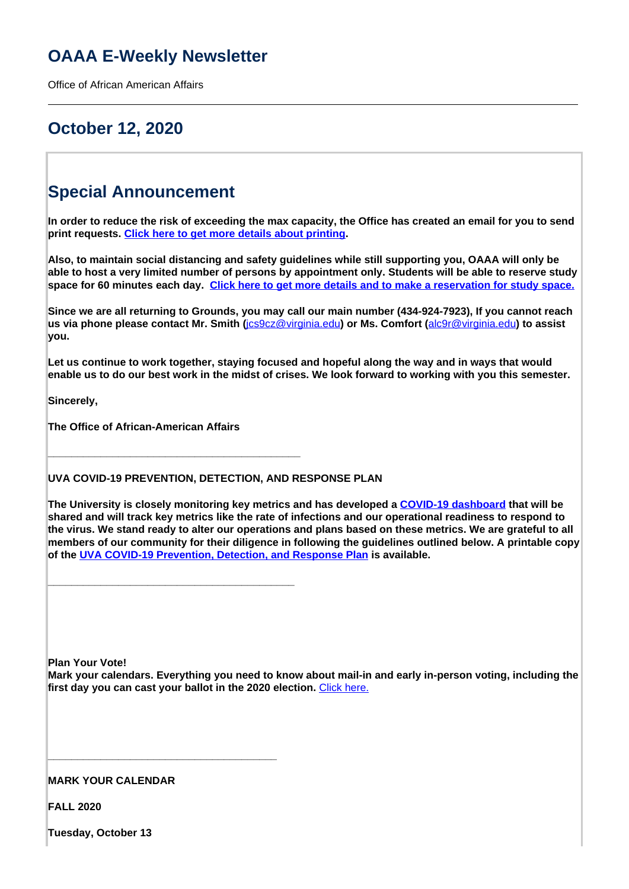## **OAAA E-Weekly Newsletter**

Office of African American Affairs

## **October 12, 2020**

# **Special Announcement**

**In order to reduce the risk of exceeding the max capacity, the Office has created an email for you to send print requests. [Click here to get more details about printing](http://oaaa.virginia.edu/printing-oaaa).**

**Also, to maintain social distancing and safety guidelines while still supporting you, OAAA will only be able to host a very limited number of persons by appointment only. Students will be able to reserve study space for 60 minutes each day. Click here to get more details and to make a reservation for study space.**

**Since we are all returning to Grounds, you may call our main number (434-924-7923), If you cannot reach us via phone please contact Mr. Smith (**jcs9cz@virginia.edu**) or Ms. Comfort (**alc9r@virginia.edu**) to assist you.**

**Let us continue to work together, staying focused and hopeful along the way and in ways that would enable us to do our best work in the midst of crises. We look forward to working with you this semester.**

**Sincerely,**

**The Office of African-American Affairs**

**\_\_\_\_\_\_\_\_\_\_\_\_\_\_\_\_\_\_\_\_\_\_\_\_\_\_\_\_\_\_\_\_\_\_\_\_\_\_\_\_\_\_\_**

**\_\_\_\_\_\_\_\_\_\_\_\_\_\_\_\_\_\_\_\_\_\_\_\_\_\_\_\_\_\_\_\_\_\_\_\_\_\_\_\_\_\_**

**\_\_\_\_\_\_\_\_\_\_\_\_\_\_\_\_\_\_\_\_\_\_\_\_\_\_\_\_\_\_\_\_\_\_\_\_\_\_\_**

**UVA COVID-19 PREVENTION, DETECTION, AND RESPONSE PLAN**

**The University is closely monitoring key metrics and has developed a COVID-19 dashboard that will be shared and will track key metrics like the rate of infections and our operational readiness to respond to the virus. We stand ready to alter our operations and plans based on these metrics. We are grateful to all members of our community for their diligence in following the guidelines outlined below. A printable copy of the UVA COVID-19 Prevention, Detection, and Response Plan is available.**

**Plan Your Vote!**

**Mark your calendars. Everything you need to know about mail-in and early in-person voting, including the first day you can cast your ballot in the 2020 election.** Click here.

### **MARK YOUR CALENDAR**

**FALL 2020**

**Tuesday, October 13**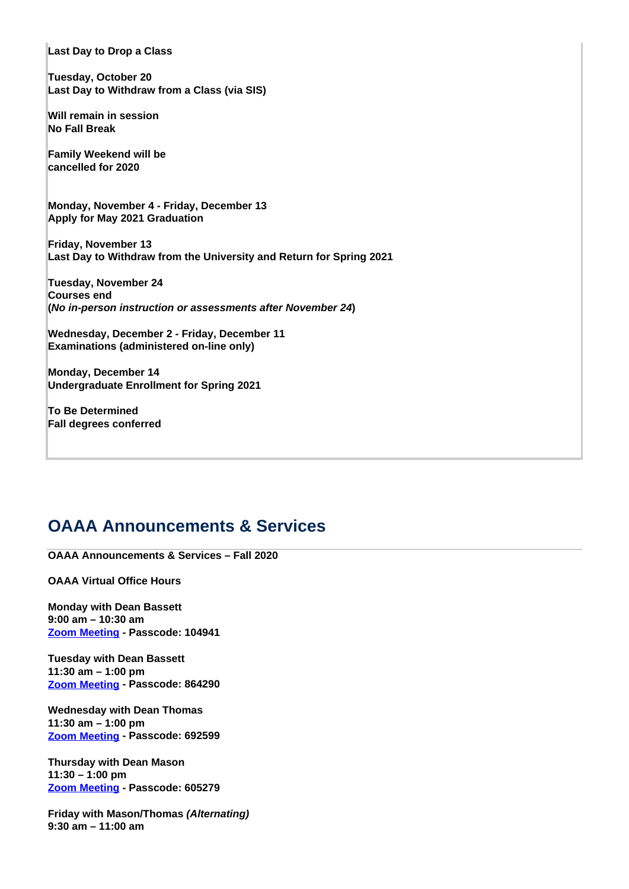**Last Day to Drop a Class**

**Tuesday, October 20 Last Day to Withdraw from a Class (via SIS)**

**Will remain in session No Fall Break** 

**Family Weekend will be cancelled for 2020**

**Monday, November 4 - Friday, December 13 Apply for May 2021 Graduation**

**Friday, November 13 Last Day to Withdraw from the University and Return for Spring 2021**

**Tuesday, November 24 Courses end (No in-person instruction or assessments after November 24)**

**Wednesday, December 2 - Friday, December 11 Examinations (administered on-line only)** 

**Monday, December 14 Undergraduate Enrollment for Spring 2021**

**To Be Determined Fall degrees conferred**

## **OAAA Announcements & Services**

**OAAA Announcements & Services – Fall 2020**

**OAAA Virtual Office Hours**

**Monday with Dean Bassett 9:00 am – 10:30 am Zoom Meeting - Passcode: 104941**

**Tuesday with Dean Bassett 11:30 am – 1:00 pm Zoom Meeting - Passcode: 864290**

**Wednesday with Dean Thomas 11:30 am – 1:00 pm Zoom Meeting - Passcode: 692599**

**Thursday with Dean Mason 11:30 – 1:00 pm Zoom Meeting - Passcode: 605279**

**Friday with Mason/Thomas (Alternating) 9:30 am – 11:00 am**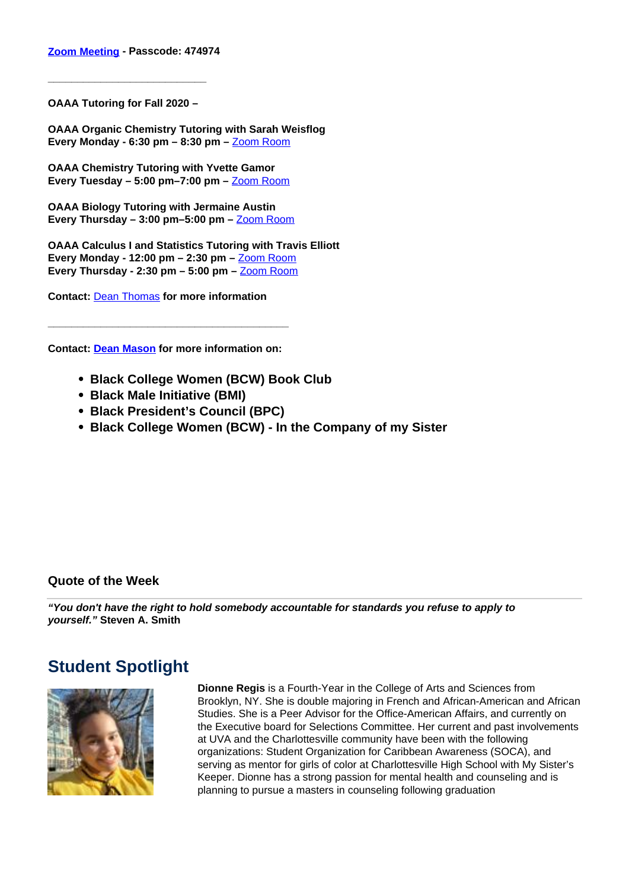### **Zoom Meeting - Passcode: 474974**

**OAAA Tutoring for Fall 2020 –** 

**\_\_\_\_\_\_\_\_\_\_\_\_\_\_\_\_\_\_\_\_\_\_\_\_\_\_\_**

**OAAA Organic Chemistry Tutoring with Sarah Weisflog Every Monday - 6:30 pm – 8:30 pm –** Zoom Room

**OAAA Chemistry Tutoring with Yvette Gamor Every Tuesday – 5:00 pm–7:00 pm –** Zoom Room

**OAAA Biology Tutoring with Jermaine Austin Every Thursday – 3:00 pm–5:00 pm –** Zoom Room

**OAAA Calculus I and Statistics Tutoring with Travis Elliott Every Monday - 12:00 pm – 2:30 pm –** Zoom Room **Every Thursday - 2:30 pm – 5:00 pm –** Zoom Room

**Contact:** Dean Thomas **for more information**

**Contact: Dean Mason for more information on:** 

**\_\_\_\_\_\_\_\_\_\_\_\_\_\_\_\_\_\_\_\_\_\_\_\_\_\_\_\_\_\_\_\_\_\_\_\_\_\_\_\_\_**

- **Black College Women (BCW) Book Club**
- **Black Male Initiative (BMI)**
- **Black President's Council (BPC)**
- **Black College Women (BCW) In the Company of my Sister**

### **Quote of the Week**

**"You don't have the right to hold somebody accountable for standards you refuse to apply to yourself." Steven A. Smith**

## **Student Spotlight**



**Dionne Regis** is a Fourth-Year in the College of Arts and Sciences from Brooklyn, NY. She is double majoring in French and African-American and African Studies. She is a Peer Advisor for the Office-American Affairs, and currently on the Executive board for Selections Committee. Her current and past involvements at UVA and the Charlottesville community have been with the following organizations: Student Organization for Caribbean Awareness (SOCA), and serving as mentor for girls of color at Charlottesville High School with My Sister's Keeper. Dionne has a strong passion for mental health and counseling and is planning to pursue a masters in counseling following graduation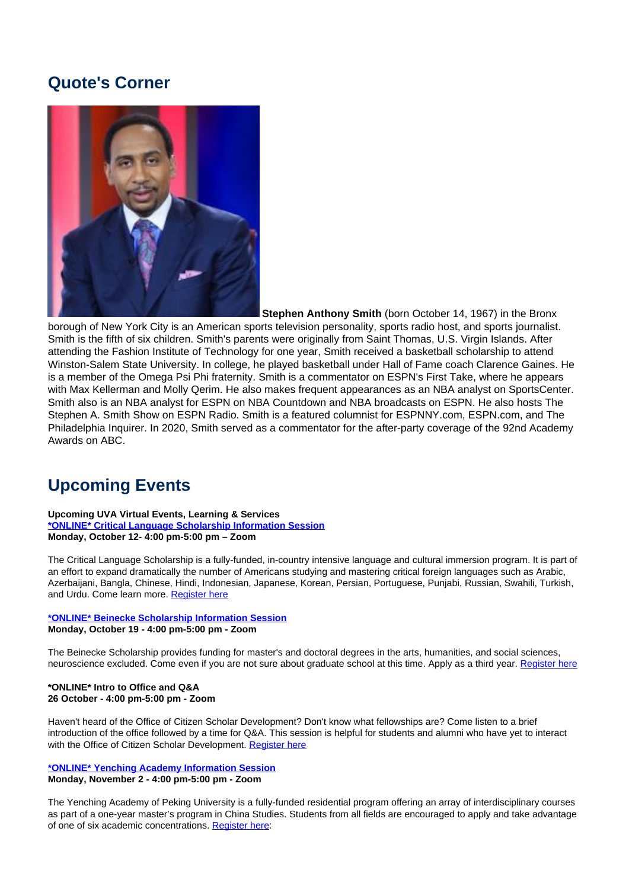## **Quote's Corner**



 **Stephen Anthony Smith** (born October 14, 1967) in the Bronx borough of New York City is an American sports television personality, sports radio host, and sports journalist. Smith is the fifth of six children. Smith's parents were originally from Saint Thomas, U.S. Virgin Islands. After attending the Fashion Institute of Technology for one year, Smith received a basketball scholarship to attend Winston-Salem State University. In college, he played basketball under Hall of Fame coach Clarence Gaines. He is a member of the Omega Psi Phi fraternity. Smith is a commentator on ESPN's First Take, where he appears with Max Kellerman and Molly Qerim. He also makes frequent appearances as an NBA analyst on SportsCenter. Smith also is an NBA analyst for ESPN on NBA Countdown and NBA broadcasts on ESPN. He also hosts The Stephen A. Smith Show on ESPN Radio. Smith is a featured columnist for ESPNNY.com, ESPN.com, and The Philadelphia Inquirer. In 2020, Smith served as a commentator for the after-party coverage of the 92nd Academy Awards on ABC.

# **Upcoming Events**

#### **Upcoming UVA Virtual Events, Learning & Services \*ONLINE\* Critical Language Scholarship Information Session Monday, October 12- 4:00 pm-5:00 pm – Zoom**

The Critical Language Scholarship is a fully-funded, in-country intensive language and cultural immersion program. It is part of an effort to expand dramatically the number of Americans studying and mastering critical foreign languages such as Arabic, Azerbaijani, Bangla, Chinese, Hindi, Indonesian, Japanese, Korean, Persian, Portuguese, Punjabi, Russian, Swahili, Turkish, and Urdu. Come learn more. Register here

### **\*ONLINE\* Beinecke Scholarship Information Session Monday, October 19 - 4:00 pm-5:00 pm - Zoom**

The Beinecke Scholarship provides funding for master's and doctoral degrees in the arts, humanities, and social sciences, neuroscience excluded. Come even if you are not sure about graduate school at this time. Apply as a third year. Register here

### **\*ONLINE\* Intro to Office and Q&A 26 October - 4:00 pm-5:00 pm - Zoom**

Haven't heard of the Office of Citizen Scholar Development? Don't know what fellowships are? Come listen to a brief introduction of the office followed by a time for Q&A. This session is helpful for students and alumni who have yet to interact with the Office of Citizen Scholar Development. Register here

### **\*ONLINE\* Yenching Academy Information Session Monday, November 2 - 4:00 pm-5:00 pm - Zoom**

The Yenching Academy of Peking University is a fully-funded residential program offering an array of interdisciplinary courses as part of a one-year master's program in China Studies. Students from all fields are encouraged to apply and take advantage of one of six academic concentrations. Register here: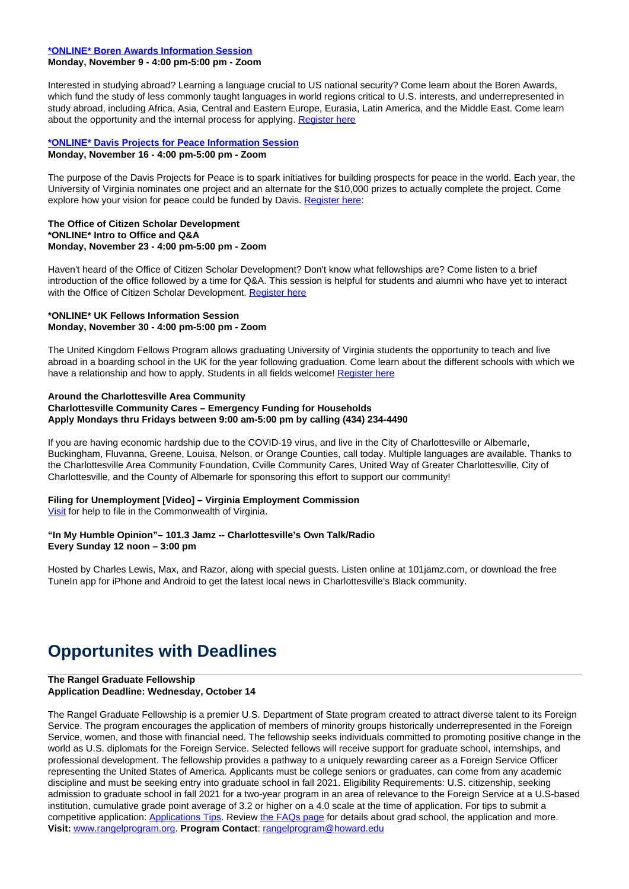#### **\*ONLINE\* Boren Awards Information Session**

### **Monday, November 9 - 4:00 pm-5:00 pm - Zoom**

Interested in studying abroad? Learning a language crucial to US national security? Come learn about the Boren Awards, which fund the study of less commonly taught languages in world regions critical to U.S. interests, and underrepresented in study abroad, including Africa, Asia, Central and Eastern Europe, Eurasia, Latin America, and the Middle East. Come learn about the opportunity and the internal process for applying. Register here

#### **\*ONLINE\* Davis Projects for Peace Information Session Monday, November 16 - 4:00 pm-5:00 pm - Zoom**

The purpose of the Davis Projects for Peace is to spark initiatives for building prospects for peace in the world. Each year, the University of Virginia nominates one project and an alternate for the \$10,000 prizes to actually complete the project. Come explore how your vision for peace could be funded by Davis. Register here:

#### **The Office of Citizen Scholar Development \*ONLINE\* Intro to Office and Q&A Monday, November 23 - 4:00 pm-5:00 pm - Zoom**

Haven't heard of the Office of Citizen Scholar Development? Don't know what fellowships are? Come listen to a brief introduction of the office followed by a time for Q&A. This session is helpful for students and alumni who have yet to interact with the Office of Citizen Scholar Development. Register here

#### **\*ONLINE\* UK Fellows Information Session Monday, November 30 - 4:00 pm-5:00 pm - Zoom**

The United Kingdom Fellows Program allows graduating University of Virginia students the opportunity to teach and live abroad in a boarding school in the UK for the year following graduation. Come learn about the different schools with which we have a relationship and how to apply. Students in all fields welcome! Register here

#### **Around the Charlottesville Area Community Charlottesville Community Cares – Emergency Funding for Households Apply Mondays thru Fridays between 9:00 am-5:00 pm by calling (434) 234-4490**

If you are having economic hardship due to the COVID-19 virus, and live in the City of Charlottesville or Albemarle, Buckingham, Fluvanna, Greene, Louisa, Nelson, or Orange Counties, call today. Multiple languages are available. Thanks to the Charlottesville Area Community Foundation, Cville Community Cares, United Way of Greater Charlottesville, City of Charlottesville, and the County of Albemarle for sponsoring this effort to support our community!

## **Filing for Unemployment [Video] – Virginia Employment Commission**

Visit for help to file in the Commonwealth of Virginia.

#### **"In My Humble Opinion"– 101.3 Jamz -- Charlottesville's Own Talk/Radio Every Sunday 12 noon – 3:00 pm**

Hosted by Charles Lewis, Max, and Razor, along with special guests. Listen online at 101jamz.com, or download the free TuneIn app for iPhone and Android to get the latest local news in Charlottesville's Black community.

# **Opportunites with Deadlines**

#### **The Rangel Graduate Fellowship Application Deadline: Wednesday, October 14**

The Rangel Graduate Fellowship is a premier U.S. Department of State program created to attract diverse talent to its Foreign Service. The program encourages the application of members of minority groups historically underrepresented in the Foreign Service, women, and those with financial need. The fellowship seeks individuals committed to promoting positive change in the world as U.S. diplomats for the Foreign Service. Selected fellows will receive support for graduate school, internships, and professional development. The fellowship provides a pathway to a uniquely rewarding career as a Foreign Service Officer representing the United States of America. Applicants must be college seniors or graduates, can come from any academic discipline and must be seeking entry into graduate school in fall 2021. Eligibility Requirements: U.S. citizenship, seeking admission to graduate school in fall 2021 for a two-year program in an area of relevance to the Foreign Service at a U.S-based institution, cumulative grade point average of 3.2 or higher on a 4.0 scale at the time of application. For tips to submit a competitive application: Applications Tips. Review the FAQs page for details about grad school, the application and more. **Visit:** www.rangelprogram.org. **Program Contact**: rangelprogram@howard.edu